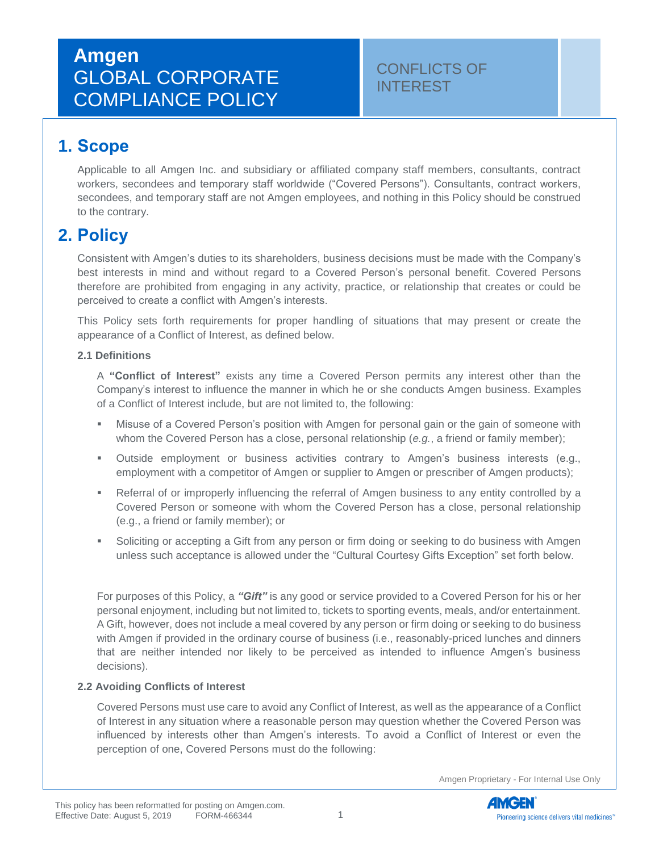# **Amgen** GLOBAL CORPORATE COMPLIANCE POLICY

### CONFLICTS OF INTEREST

## **1. Scope**

Applicable to all Amgen Inc. and subsidiary or affiliated company staff members, consultants, contract workers, secondees and temporary staff worldwide ("Covered Persons"). Consultants, contract workers, secondees, and temporary staff are not Amgen employees, and nothing in this Policy should be construed to the contrary.

### **2. Policy**

Consistent with Amgen's duties to its shareholders, business decisions must be made with the Company's best interests in mind and without regard to a Covered Person's personal benefit. Covered Persons therefore are prohibited from engaging in any activity, practice, or relationship that creates or could be perceived to create a conflict with Amgen's interests.

This Policy sets forth requirements for proper handling of situations that may present or create the appearance of a Conflict of Interest, as defined below.

#### **2.1 Definitions**

A **"Conflict of Interest"** exists any time a Covered Person permits any interest other than the Company's interest to influence the manner in which he or she conducts Amgen business. Examples of a Conflict of Interest include, but are not limited to, the following:

- Misuse of a Covered Person's position with Amgen for personal gain or the gain of someone with whom the Covered Person has a close, personal relationship (*e.g.*, a friend or family member);
- Outside employment or business activities contrary to Amgen's business interests (e.g., employment with a competitor of Amgen or supplier to Amgen or prescriber of Amgen products);
- Referral of or improperly influencing the referral of Amgen business to any entity controlled by a Covered Person or someone with whom the Covered Person has a close, personal relationship (e.g., a friend or family member); or
- **•** Soliciting or accepting a Gift from any person or firm doing or seeking to do business with Amgen unless such acceptance is allowed under the "Cultural Courtesy Gifts Exception" set forth below.

For purposes of this Policy, a *"Gift"* is any good or service provided to a Covered Person for his or her personal enjoyment, including but not limited to, tickets to sporting events, meals, and/or entertainment. A Gift, however, does not include a meal covered by any person or firm doing or seeking to do business with Amgen if provided in the ordinary course of business (i.e., reasonably-priced lunches and dinners that are neither intended nor likely to be perceived as intended to influence Amgen's business decisions).

#### **2.2 Avoiding Conflicts of Interest**

Covered Persons must use care to avoid any Conflict of Interest, as well as the appearance of a Conflict of Interest in any situation where a reasonable person may question whether the Covered Person was influenced by interests other than Amgen's interests. To avoid a Conflict of Interest or even the perception of one, Covered Persons must do the following:

Amgen Proprietary - For Internal Use Only

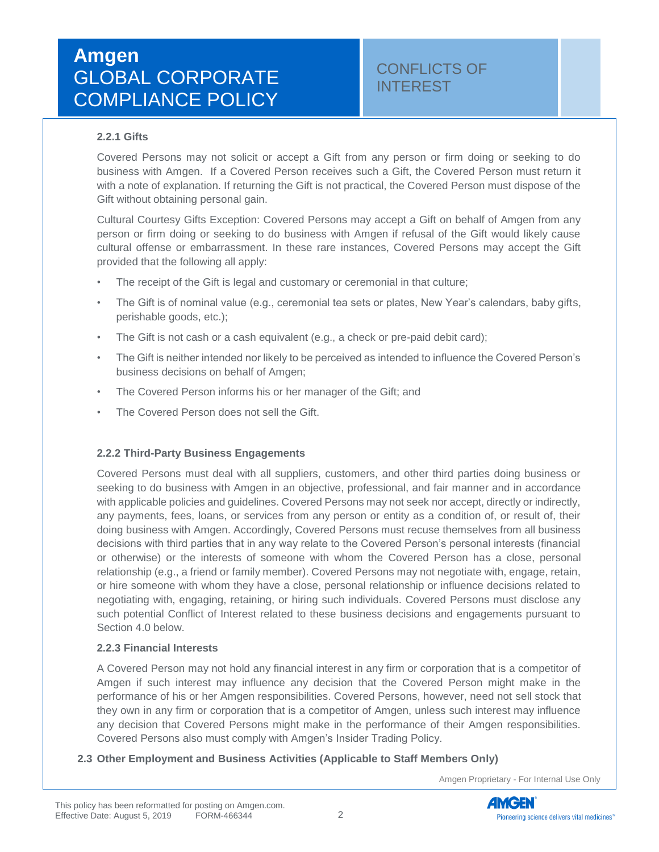#### **2.2.1 Gifts**

Covered Persons may not solicit or accept a Gift from any person or firm doing or seeking to do business with Amgen. If a Covered Person receives such a Gift, the Covered Person must return it with a note of explanation. If returning the Gift is not practical, the Covered Person must dispose of the Gift without obtaining personal gain.

Cultural Courtesy Gifts Exception: Covered Persons may accept a Gift on behalf of Amgen from any person or firm doing or seeking to do business with Amgen if refusal of the Gift would likely cause cultural offense or embarrassment. In these rare instances, Covered Persons may accept the Gift provided that the following all apply:

- The receipt of the Gift is legal and customary or ceremonial in that culture;
- The Gift is of nominal value (e.g., ceremonial tea sets or plates, New Year's calendars, baby gifts, perishable goods, etc.);
- The Gift is not cash or a cash equivalent (e.g., a check or pre-paid debit card);
- The Gift is neither intended nor likely to be perceived as intended to influence the Covered Person's business decisions on behalf of Amgen;
- The Covered Person informs his or her manager of the Gift; and
- The Covered Person does not sell the Gift.

#### **2.2.2 Third-Party Business Engagements**

Covered Persons must deal with all suppliers, customers, and other third parties doing business or seeking to do business with Amgen in an objective, professional, and fair manner and in accordance with applicable policies and guidelines. Covered Persons may not seek nor accept, directly or indirectly, any payments, fees, loans, or services from any person or entity as a condition of, or result of, their doing business with Amgen. Accordingly, Covered Persons must recuse themselves from all business decisions with third parties that in any way relate to the Covered Person's personal interests (financial or otherwise) or the interests of someone with whom the Covered Person has a close, personal relationship (e.g., a friend or family member). Covered Persons may not negotiate with, engage, retain, or hire someone with whom they have a close, personal relationship or influence decisions related to negotiating with, engaging, retaining, or hiring such individuals. Covered Persons must disclose any such potential Conflict of Interest related to these business decisions and engagements pursuant to Section 4.0 below.

#### **2.2.3 Financial Interests**

A Covered Person may not hold any financial interest in any firm or corporation that is a competitor of Amgen if such interest may influence any decision that the Covered Person might make in the performance of his or her Amgen responsibilities. Covered Persons, however, need not sell stock that they own in any firm or corporation that is a competitor of Amgen, unless such interest may influence any decision that Covered Persons might make in the performance of their Amgen responsibilities. Covered Persons also must comply with Amgen's Insider Trading Policy.

#### **2.3 Other Employment and Business Activities (Applicable to Staff Members Only)**

Amgen Proprietary - For Internal Use Only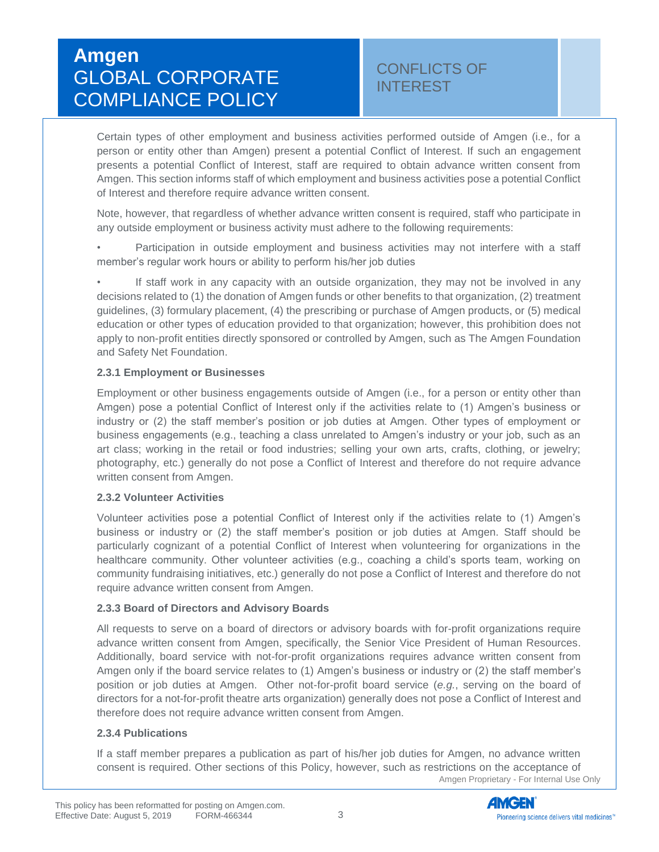Certain types of other employment and business activities performed outside of Amgen (i.e., for a person or entity other than Amgen) present a potential Conflict of Interest. If such an engagement presents a potential Conflict of Interest, staff are required to obtain advance written consent from Amgen. This section informs staff of which employment and business activities pose a potential Conflict of Interest and therefore require advance written consent.

Note, however, that regardless of whether advance written consent is required, staff who participate in any outside employment or business activity must adhere to the following requirements:

Participation in outside employment and business activities may not interfere with a staff member's regular work hours or ability to perform his/her job duties

If staff work in any capacity with an outside organization, they may not be involved in any decisions related to (1) the donation of Amgen funds or other benefits to that organization, (2) treatment guidelines, (3) formulary placement, (4) the prescribing or purchase of Amgen products, or (5) medical education or other types of education provided to that organization; however, this prohibition does not apply to non-profit entities directly sponsored or controlled by Amgen, such as The Amgen Foundation and Safety Net Foundation.

#### **2.3.1 Employment or Businesses**

Employment or other business engagements outside of Amgen (i.e., for a person or entity other than Amgen) pose a potential Conflict of Interest only if the activities relate to (1) Amgen's business or industry or (2) the staff member's position or job duties at Amgen. Other types of employment or business engagements (e.g., teaching a class unrelated to Amgen's industry or your job, such as an art class; working in the retail or food industries; selling your own arts, crafts, clothing, or jewelry; photography, etc.) generally do not pose a Conflict of Interest and therefore do not require advance written consent from Amgen.

#### **2.3.2 Volunteer Activities**

Volunteer activities pose a potential Conflict of Interest only if the activities relate to (1) Amgen's business or industry or (2) the staff member's position or job duties at Amgen. Staff should be particularly cognizant of a potential Conflict of Interest when volunteering for organizations in the healthcare community. Other volunteer activities (e.g., coaching a child's sports team, working on community fundraising initiatives, etc.) generally do not pose a Conflict of Interest and therefore do not require advance written consent from Amgen.

#### **2.3.3 Board of Directors and Advisory Boards**

All requests to serve on a board of directors or advisory boards with for-profit organizations require advance written consent from Amgen, specifically, the Senior Vice President of Human Resources. Additionally, board service with not-for-profit organizations requires advance written consent from Amgen only if the board service relates to (1) Amgen's business or industry or (2) the staff member's position or job duties at Amgen. Other not-for-profit board service (*e.g.*, serving on the board of directors for a not-for-profit theatre arts organization) generally does not pose a Conflict of Interest and therefore does not require advance written consent from Amgen.

#### **2.3.4 Publications**

Amgen Proprietary - For Internal Use Only If a staff member prepares a publication as part of his/her job duties for Amgen, no advance written consent is required. Other sections of this Policy, however, such as restrictions on the acceptance of

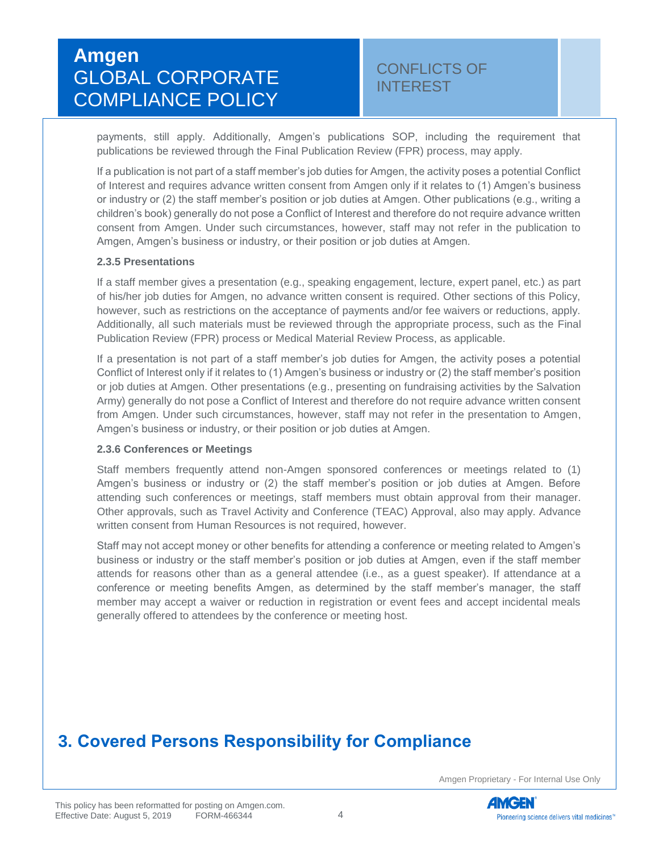payments, still apply. Additionally, Amgen's publications SOP, including the requirement that publications be reviewed through the [Final Publication Review \(FPR\)](https://amgen.sharepoint.com/sites/SA_GMW/FPR/Pages/AmgenFPR.aspx) process, may apply.

If a publication is not part of a staff member's job duties for Amgen, the activity poses a potential Conflict of Interest and requires advance written consent from Amgen only if it relates to (1) Amgen's business or industry or (2) the staff member's position or job duties at Amgen. Other publications (e.g., writing a children's book) generally do not pose a Conflict of Interest and therefore do not require advance written consent from Amgen. Under such circumstances, however, staff may not refer in the publication to Amgen, Amgen's business or industry, or their position or job duties at Amgen.

#### **2.3.5 Presentations**

If a staff member gives a presentation (e.g., speaking engagement, lecture, expert panel, etc.) as part of his/her job duties for Amgen, no advance written consent is required. Other sections of this Policy, however, such as restrictions on the acceptance of payments and/or fee waivers or reductions, apply. Additionally, all such materials must be reviewed through the appropriate process, such as the [Final](https://amgen.sharepoint.com/sites/SA_GMW/FPR/Pages/AmgenFPR.aspx)  [Publication Review \(FPR\)](https://amgen.sharepoint.com/sites/SA_GMW/FPR/Pages/AmgenFPR.aspx) process or Medical Material Review Process, as applicable.

If a presentation is not part of a staff member's job duties for Amgen, the activity poses a potential Conflict of Interest only if it relates to (1) Amgen's business or industry or (2) the staff member's position or job duties at Amgen. Other presentations (e.g., presenting on fundraising activities by the Salvation Army) generally do not pose a Conflict of Interest and therefore do not require advance written consent from Amgen. Under such circumstances, however, staff may not refer in the presentation to Amgen, Amgen's business or industry, or their position or job duties at Amgen.

#### **2.3.6 Conferences or Meetings**

Staff members frequently attend non-Amgen sponsored conferences or meetings related to (1) Amgen's business or industry or (2) the staff member's position or job duties at Amgen. Before attending such conferences or meetings, staff members must obtain approval from their manager. Other approvals, such as [Travel Activity and Conference \(TEAC\) Approval,](https://amgen.sharepoint.com/sites/TEACapproval/Pages/TEAC%20Home.aspx) also may apply. Advance written consent from Human Resources is not required, however.

Staff may not accept money or other benefits for attending a conference or meeting related to Amgen's business or industry or the staff member's position or job duties at Amgen, even if the staff member attends for reasons other than as a general attendee (i.e., as a guest speaker). If attendance at a conference or meeting benefits Amgen, as determined by the staff member's manager, the staff member may accept a waiver or reduction in registration or event fees and accept incidental meals generally offered to attendees by the conference or meeting host.

## **3. Covered Persons Responsibility for Compliance**

Amgen Proprietary - For Internal Use Only